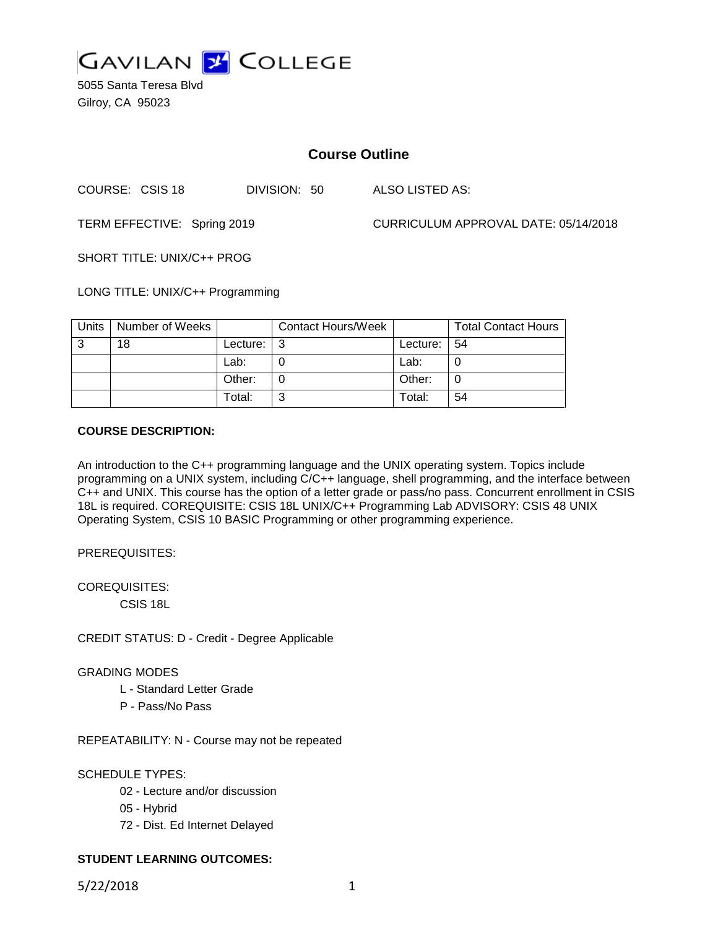

5055 Santa Teresa Blvd Gilroy, CA 95023

# **Course Outline**

COURSE: CSIS 18 DIVISION: 50 ALSO LISTED AS:

TERM EFFECTIVE: Spring 2019 CURRICULUM APPROVAL DATE: 05/14/2018

SHORT TITLE: UNIX/C++ PROG

LONG TITLE: UNIX/C++ Programming

| Units | Number of Weeks |          | <b>Contact Hours/Week</b> |                 | <b>Total Contact Hours</b> |
|-------|-----------------|----------|---------------------------|-----------------|----------------------------|
| -2    | 18              | Lecture: |                           | Lecture: $ 54 $ |                            |
|       |                 | Lab:     |                           | Lab:            |                            |
|       |                 | Other:   |                           | Other:          |                            |
|       |                 | Total:   | ົ                         | Total:          | 54                         |

# **COURSE DESCRIPTION:**

An introduction to the C++ programming language and the UNIX operating system. Topics include programming on a UNIX system, including C/C++ language, shell programming, and the interface between C++ and UNIX. This course has the option of a letter grade or pass/no pass. Concurrent enrollment in CSIS 18L is required. COREQUISITE: CSIS 18L UNIX/C++ Programming Lab ADVISORY: CSIS 48 UNIX Operating System, CSIS 10 BASIC Programming or other programming experience.

PREREQUISITES:

COREQUISITES:

CSIS 18L

CREDIT STATUS: D - Credit - Degree Applicable

# GRADING MODES

- L Standard Letter Grade
- P Pass/No Pass

REPEATABILITY: N - Course may not be repeated

SCHEDULE TYPES:

- 02 Lecture and/or discussion
- 05 Hybrid
- 72 Dist. Ed Internet Delayed

# **STUDENT LEARNING OUTCOMES:**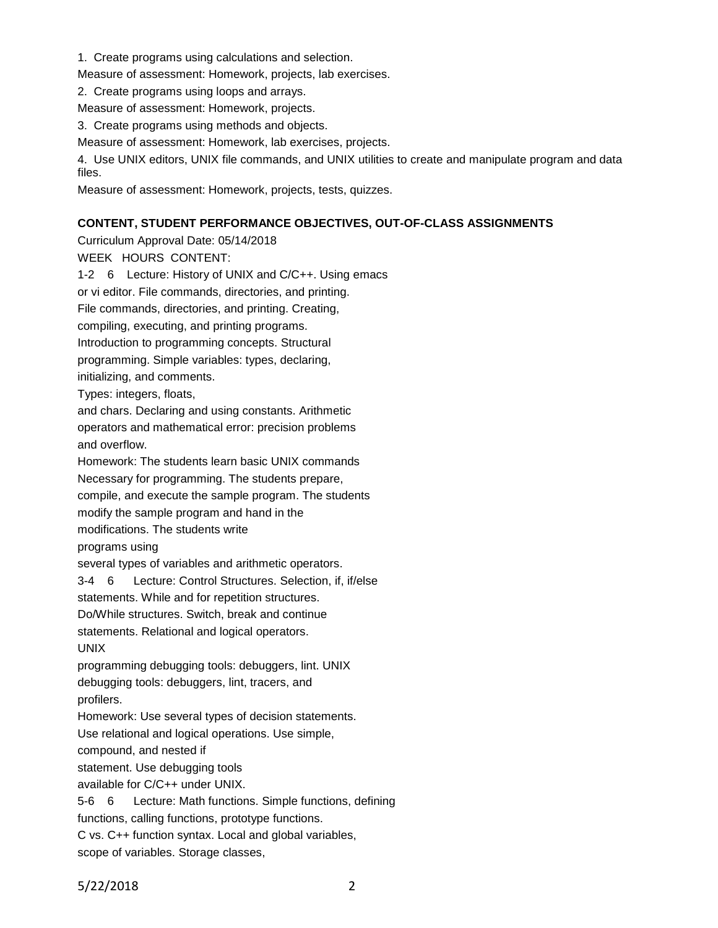- 1. Create programs using calculations and selection.
- Measure of assessment: Homework, projects, lab exercises.
- 2. Create programs using loops and arrays.
- Measure of assessment: Homework, projects.
- 3. Create programs using methods and objects.
- Measure of assessment: Homework, lab exercises, projects.
- 4. Use UNIX editors, UNIX file commands, and UNIX utilities to create and manipulate program and data files.
- Measure of assessment: Homework, projects, tests, quizzes.

# **CONTENT, STUDENT PERFORMANCE OBJECTIVES, OUT-OF-CLASS ASSIGNMENTS**

Curriculum Approval Date: 05/14/2018 WEEK HOURS CONTENT: 1-2 6 Lecture: History of UNIX and C/C++. Using emacs or vi editor. File commands, directories, and printing. File commands, directories, and printing. Creating, compiling, executing, and printing programs. Introduction to programming concepts. Structural programming. Simple variables: types, declaring, initializing, and comments. Types: integers, floats, and chars. Declaring and using constants. Arithmetic operators and mathematical error: precision problems and overflow. Homework: The students learn basic UNIX commands Necessary for programming. The students prepare, compile, and execute the sample program. The students modify the sample program and hand in the modifications. The students write programs using several types of variables and arithmetic operators. 3-4 6 Lecture: Control Structures. Selection, if, if/else statements. While and for repetition structures. Do/While structures. Switch, break and continue statements. Relational and logical operators. UNIX programming debugging tools: debuggers, lint. UNIX debugging tools: debuggers, lint, tracers, and profilers. Homework: Use several types of decision statements. Use relational and logical operations. Use simple, compound, and nested if statement. Use debugging tools available for C/C++ under UNIX. 5-6 6 Lecture: Math functions. Simple functions, defining functions, calling functions, prototype functions. C vs. C++ function syntax. Local and global variables, scope of variables. Storage classes,

5/22/2018 2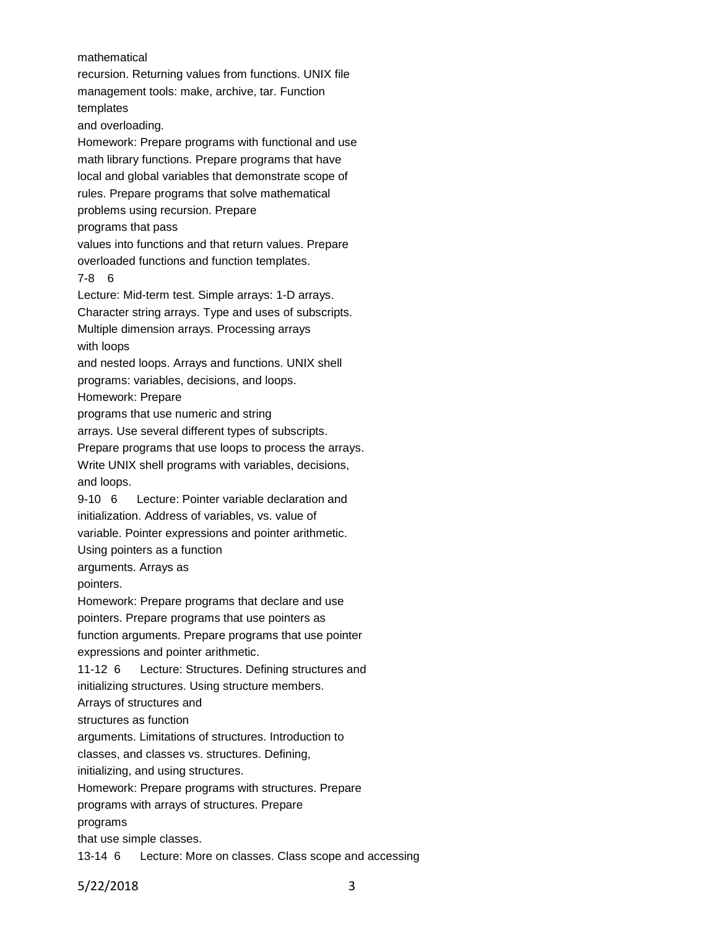mathematical

recursion. Returning values from functions. UNIX file management tools: make, archive, tar. Function templates and overloading. Homework: Prepare programs with functional and use math library functions. Prepare programs that have local and global variables that demonstrate scope of rules. Prepare programs that solve mathematical problems using recursion. Prepare programs that pass values into functions and that return values. Prepare overloaded functions and function templates. 7-8 6 Lecture: Mid-term test. Simple arrays: 1-D arrays. Character string arrays. Type and uses of subscripts. Multiple dimension arrays. Processing arrays with loops and nested loops. Arrays and functions. UNIX shell programs: variables, decisions, and loops. Homework: Prepare programs that use numeric and string arrays. Use several different types of subscripts. Prepare programs that use loops to process the arrays. Write UNIX shell programs with variables, decisions, and loops. 9-10 6 Lecture: Pointer variable declaration and initialization. Address of variables, vs. value of variable. Pointer expressions and pointer arithmetic. Using pointers as a function arguments. Arrays as pointers. Homework: Prepare programs that declare and use pointers. Prepare programs that use pointers as function arguments. Prepare programs that use pointer expressions and pointer arithmetic. 11-12 6 Lecture: Structures. Defining structures and initializing structures. Using structure members. Arrays of structures and structures as function arguments. Limitations of structures. Introduction to classes, and classes vs. structures. Defining, initializing, and using structures. Homework: Prepare programs with structures. Prepare programs with arrays of structures. Prepare programs that use simple classes. 13-14 6 Lecture: More on classes. Class scope and accessing

5/22/2018 3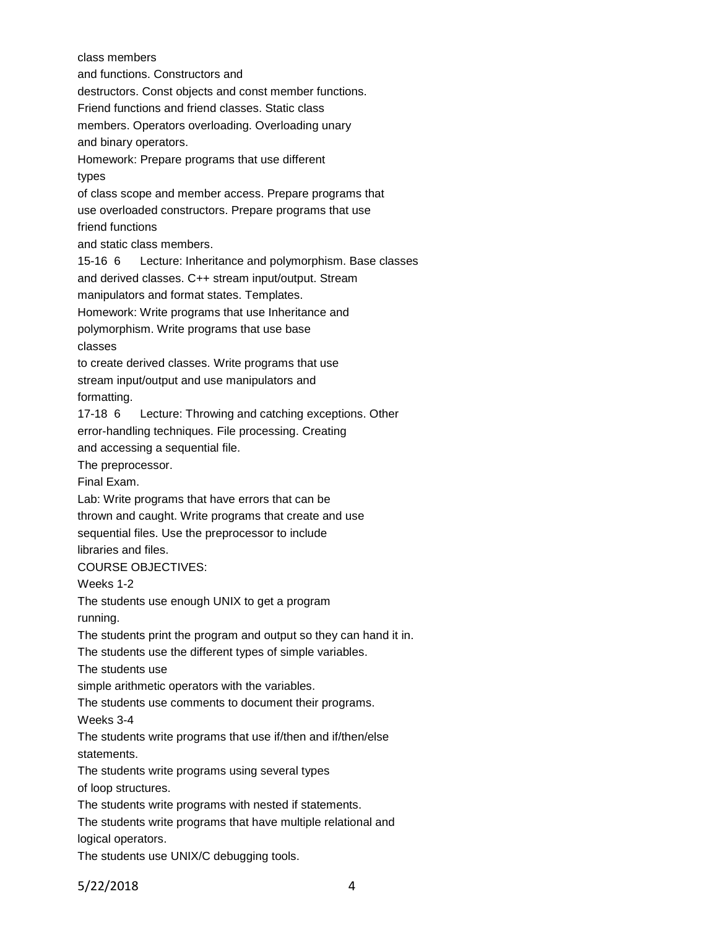class members and functions. Constructors and destructors. Const objects and const member functions. Friend functions and friend classes. Static class members. Operators overloading. Overloading unary and binary operators. Homework: Prepare programs that use different types of class scope and member access. Prepare programs that use overloaded constructors. Prepare programs that use friend functions and static class members. 15-16 6 Lecture: Inheritance and polymorphism. Base classes and derived classes. C++ stream input/output. Stream manipulators and format states. Templates. Homework: Write programs that use Inheritance and polymorphism. Write programs that use base classes to create derived classes. Write programs that use stream input/output and use manipulators and formatting. 17-18 6 Lecture: Throwing and catching exceptions. Other error-handling techniques. File processing. Creating and accessing a sequential file. The preprocessor. Final Exam. Lab: Write programs that have errors that can be thrown and caught. Write programs that create and use sequential files. Use the preprocessor to include libraries and files. COURSE OBJECTIVES: Weeks 1-2 The students use enough UNIX to get a program running. The students print the program and output so they can hand it in. The students use the different types of simple variables. The students use simple arithmetic operators with the variables. The students use comments to document their programs. Weeks 3-4 The students write programs that use if/then and if/then/else statements. The students write programs using several types of loop structures. The students write programs with nested if statements. The students write programs that have multiple relational and logical operators. The students use UNIX/C debugging tools.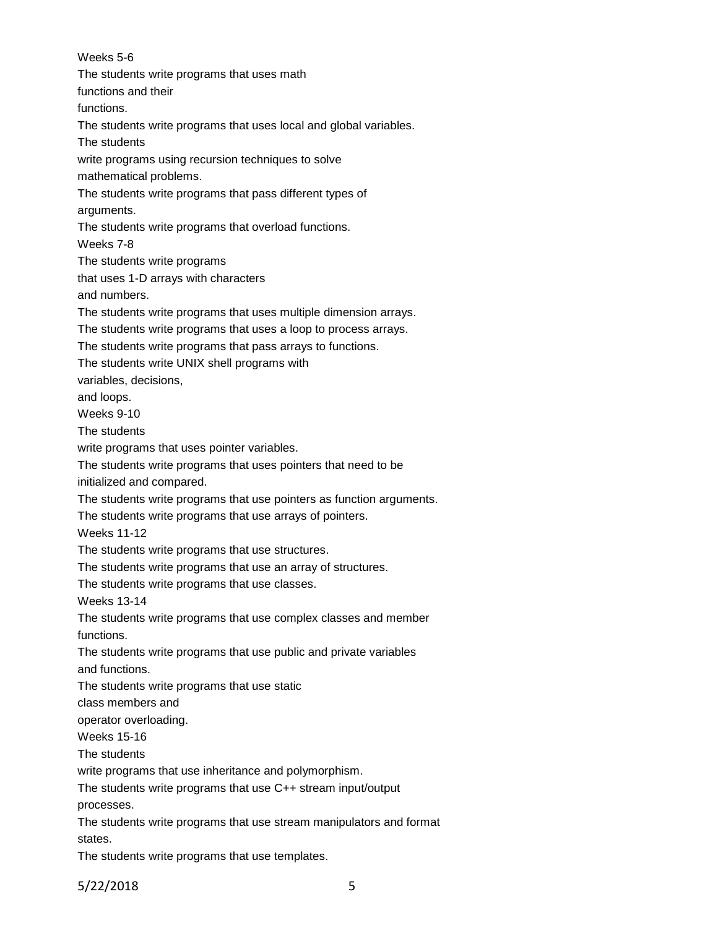Weeks 5-6 The students write programs that uses math functions and their functions. The students write programs that uses local and global variables. The students write programs using recursion techniques to solve mathematical problems. The students write programs that pass different types of arguments. The students write programs that overload functions. Weeks 7-8 The students write programs that uses 1-D arrays with characters and numbers. The students write programs that uses multiple dimension arrays. The students write programs that uses a loop to process arrays. The students write programs that pass arrays to functions. The students write UNIX shell programs with variables, decisions, and loops. Weeks 9-10 The students write programs that uses pointer variables. The students write programs that uses pointers that need to be initialized and compared. The students write programs that use pointers as function arguments. The students write programs that use arrays of pointers. Weeks 11-12 The students write programs that use structures. The students write programs that use an array of structures. The students write programs that use classes. Weeks 13-14 The students write programs that use complex classes and member functions. The students write programs that use public and private variables and functions. The students write programs that use static class members and operator overloading. Weeks 15-16 The students write programs that use inheritance and polymorphism. The students write programs that use C++ stream input/output processes. The students write programs that use stream manipulators and format states. The students write programs that use templates.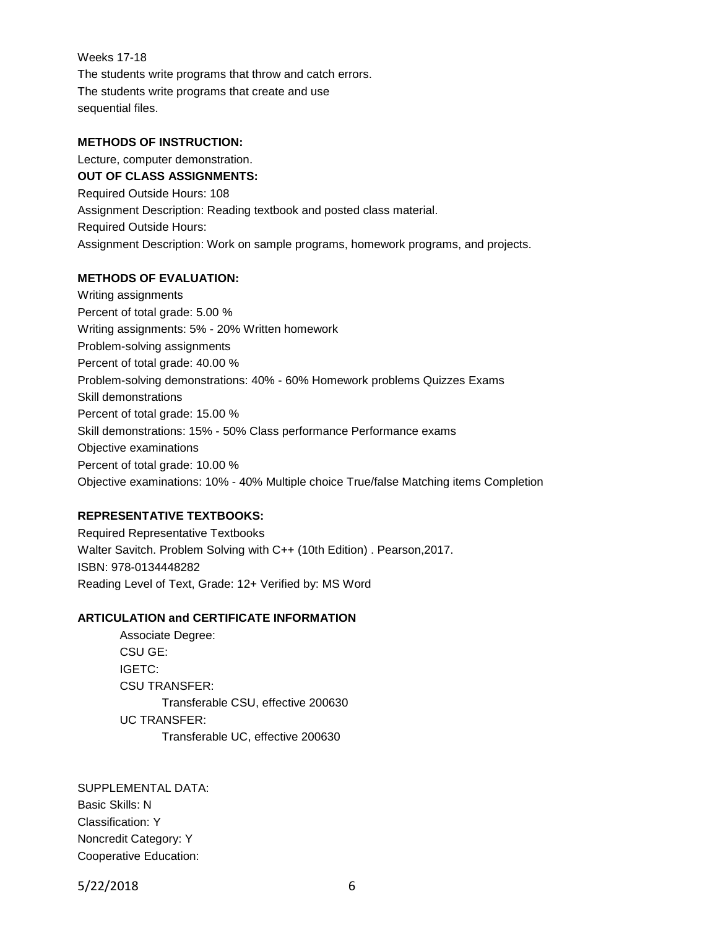Weeks 17-18 The students write programs that throw and catch errors. The students write programs that create and use sequential files.

### **METHODS OF INSTRUCTION:**

Lecture, computer demonstration. **OUT OF CLASS ASSIGNMENTS:** Required Outside Hours: 108 Assignment Description: Reading textbook and posted class material. Required Outside Hours: Assignment Description: Work on sample programs, homework programs, and projects.

#### **METHODS OF EVALUATION:**

Writing assignments Percent of total grade: 5.00 % Writing assignments: 5% - 20% Written homework Problem-solving assignments Percent of total grade: 40.00 % Problem-solving demonstrations: 40% - 60% Homework problems Quizzes Exams Skill demonstrations Percent of total grade: 15.00 % Skill demonstrations: 15% - 50% Class performance Performance exams Objective examinations Percent of total grade: 10.00 % Objective examinations: 10% - 40% Multiple choice True/false Matching items Completion

# **REPRESENTATIVE TEXTBOOKS:**

Required Representative Textbooks Walter Savitch. Problem Solving with C++ (10th Edition) . Pearson,2017. ISBN: 978-0134448282 Reading Level of Text, Grade: 12+ Verified by: MS Word

# **ARTICULATION and CERTIFICATE INFORMATION**

Associate Degree: CSU GE: IGETC: CSU TRANSFER: Transferable CSU, effective 200630 UC TRANSFER: Transferable UC, effective 200630

SUPPLEMENTAL DATA: Basic Skills: N Classification: Y Noncredit Category: Y Cooperative Education:

5/22/2018 6